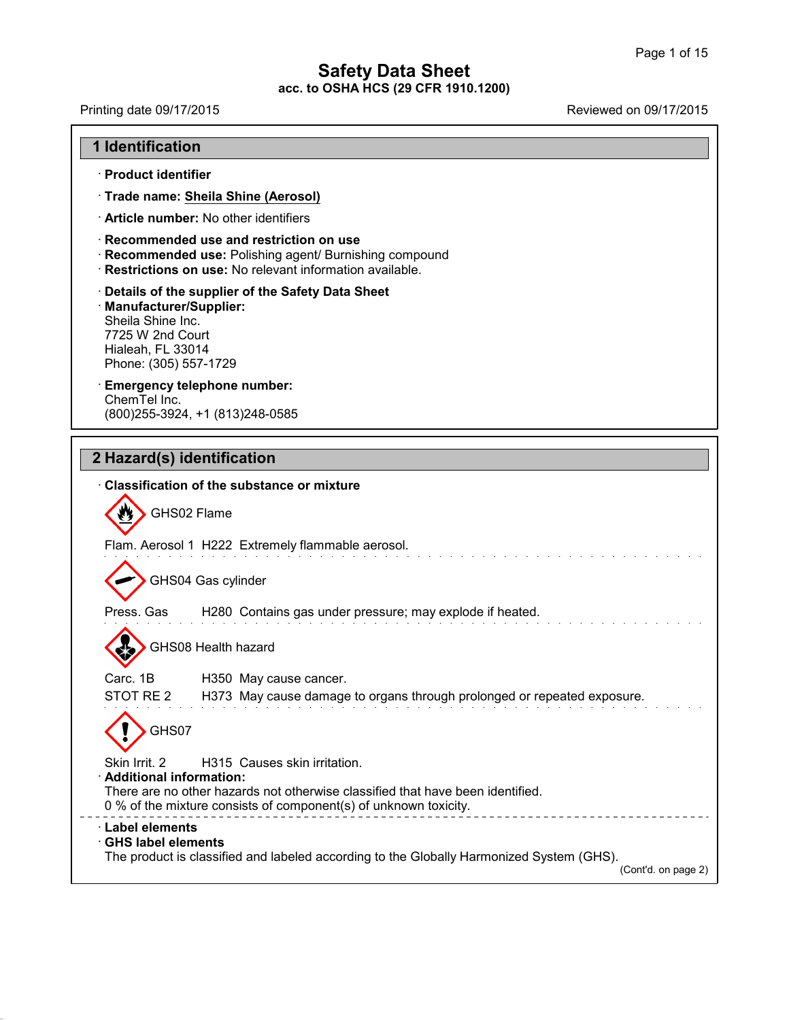41.2.6

Printing date 09/17/2015 Printing date 09/17/2015

| · Product identifier                                                                                            |                                                                                                                                                                                    |
|-----------------------------------------------------------------------------------------------------------------|------------------------------------------------------------------------------------------------------------------------------------------------------------------------------------|
|                                                                                                                 | · Trade name: Sheila Shine (Aerosol)                                                                                                                                               |
|                                                                                                                 | · Article number: No other identifiers                                                                                                                                             |
|                                                                                                                 | Recommended use and restriction on use<br>Recommended use: Polishing agent/ Burnishing compound<br>· Restrictions on use: No relevant information available.                       |
| · Manufacturer/Supplier:<br>Sheila Shine Inc.<br>7725 W 2nd Court<br>Hialeah, FL 33014<br>Phone: (305) 557-1729 | Details of the supplier of the Safety Data Sheet                                                                                                                                   |
| ChemTel Inc.                                                                                                    | <b>Emergency telephone number:</b><br>(800) 255-3924, +1 (813) 248-0585                                                                                                            |
|                                                                                                                 | 2 Hazard(s) identification                                                                                                                                                         |
|                                                                                                                 | <b>Classification of the substance or mixture</b>                                                                                                                                  |
|                                                                                                                 | GHS02 Flame                                                                                                                                                                        |
|                                                                                                                 | Flam. Aerosol 1 H222 Extremely flammable aerosol.                                                                                                                                  |
|                                                                                                                 | GHS04 Gas cylinder                                                                                                                                                                 |
| Press. Gas                                                                                                      | H280 Contains gas under pressure; may explode if heated.                                                                                                                           |
|                                                                                                                 | GHS08 Health hazard                                                                                                                                                                |
| Carc. 1B                                                                                                        | H350 May cause cancer.                                                                                                                                                             |
| STOT RE <sub>2</sub><br>GHS07                                                                                   | H373 May cause damage to organs through prolonged or repeated exposure.                                                                                                            |
| Skin Irrit. 2<br>· Additional information:                                                                      | H315 Causes skin irritation.<br>There are no other hazards not otherwise classified that have been identified.<br>0 % of the mixture consists of component(s) of unknown toxicity. |
| · Label elements<br><b>GHS label elements</b>                                                                   |                                                                                                                                                                                    |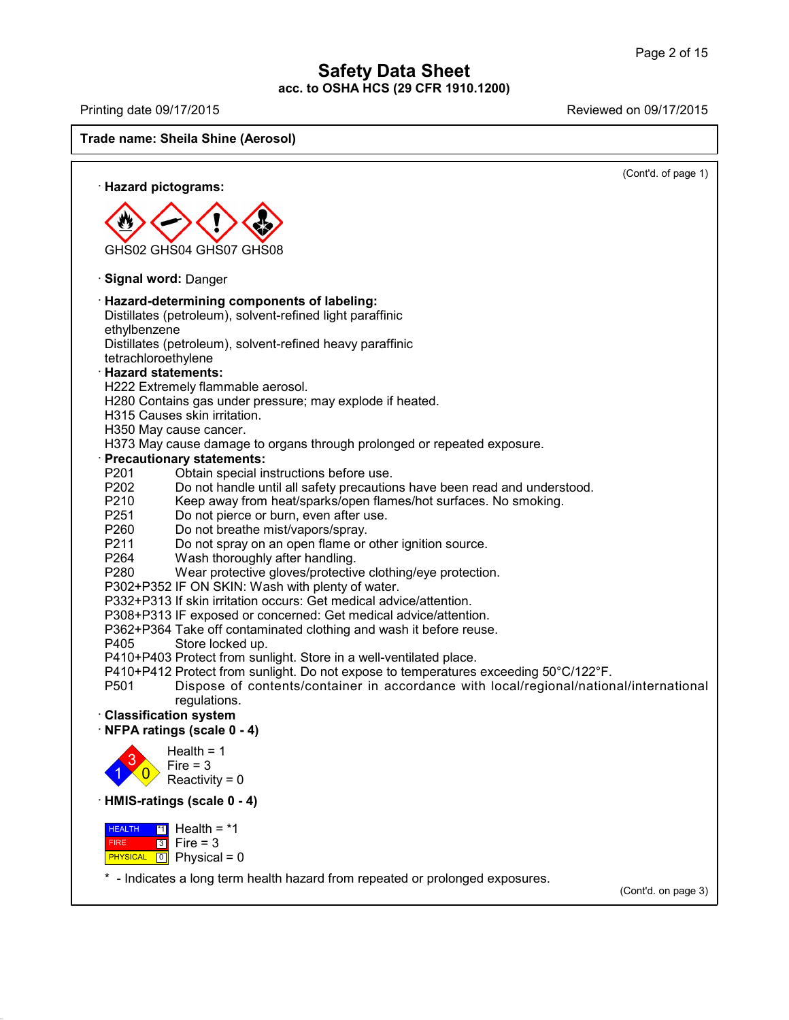41.2.6

Printing date 09/17/2015 Reviewed on 09/17/2015

**Trade name: Sheila Shine (Aerosol)**

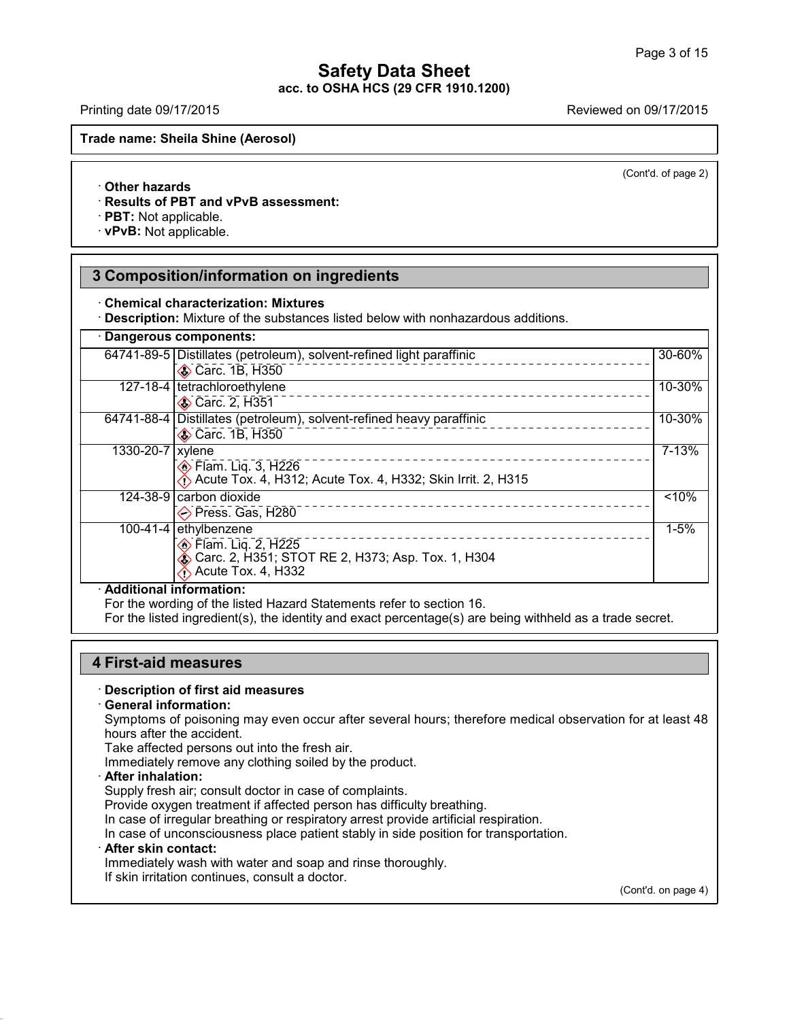Printing date 09/17/2015 Reviewed on 09/17/2015

**Trade name: Sheila Shine (Aerosol)**

(Cont'd. of page 2)

### · **Other hazards**

· **Results of PBT and vPvB assessment:**

· **PBT:** Not applicable.

· **vPvB:** Not applicable.

# **3 Composition/information on ingredients**

· **Chemical characterization: Mixtures**

· **Description:** Mixture of the substances listed below with nonhazardous additions.

|                  | 64741-89-5 Distillates (petroleum), solvent-refined light paraffinic<br>Carc. 1B, H350                                                 | 30-60%    |
|------------------|----------------------------------------------------------------------------------------------------------------------------------------|-----------|
|                  | 127-18-4   tetrachloroethylene<br>Carc. 2, H351                                                                                        | 10-30%    |
|                  | 64741-88-4   Distillates (petroleum), solvent-refined heavy paraffinic<br>Carc. 1B, H350                                               | 10-30%    |
| 1330-20-7 xylene | <b>Elam.</b> Liq. 3, H226<br>Acute Tox. 4, H312; Acute Tox. 4, H332; Skin Irrit. 2, H315                                               | $7 - 13%$ |
|                  | 124-38-9 carbon dioxide<br>$\diamond$ Press. Gas, H280                                                                                 | $< 10\%$  |
|                  | 100-41-4 ethylbenzene<br><b>Elam.</b> Lig. 2, H225<br><b>ふ Carc. 2, H351; STOT RE 2, H373; Asp. Tox. 1, H304</b><br>Acute Tox. 4, H332 | $1 - 5%$  |

· **Additional information:**

For the wording of the listed Hazard Statements refer to section 16.

For the listed ingredient(s), the identity and exact percentage(s) are being withheld as a trade secret.

# **4 First-aid measures**

### · **Description of first aid measures**

#### · **General information:**

Symptoms of poisoning may even occur after several hours; therefore medical observation for at least 48 hours after the accident.

Take affected persons out into the fresh air.

Immediately remove any clothing soiled by the product.

### · **After inhalation:**

Supply fresh air; consult doctor in case of complaints.

Provide oxygen treatment if affected person has difficulty breathing.

In case of irregular breathing or respiratory arrest provide artificial respiration.

In case of unconsciousness place patient stably in side position for transportation.

### · **After skin contact:**

41.2.6

Immediately wash with water and soap and rinse thoroughly.

If skin irritation continues, consult a doctor.

(Cont'd. on page 4)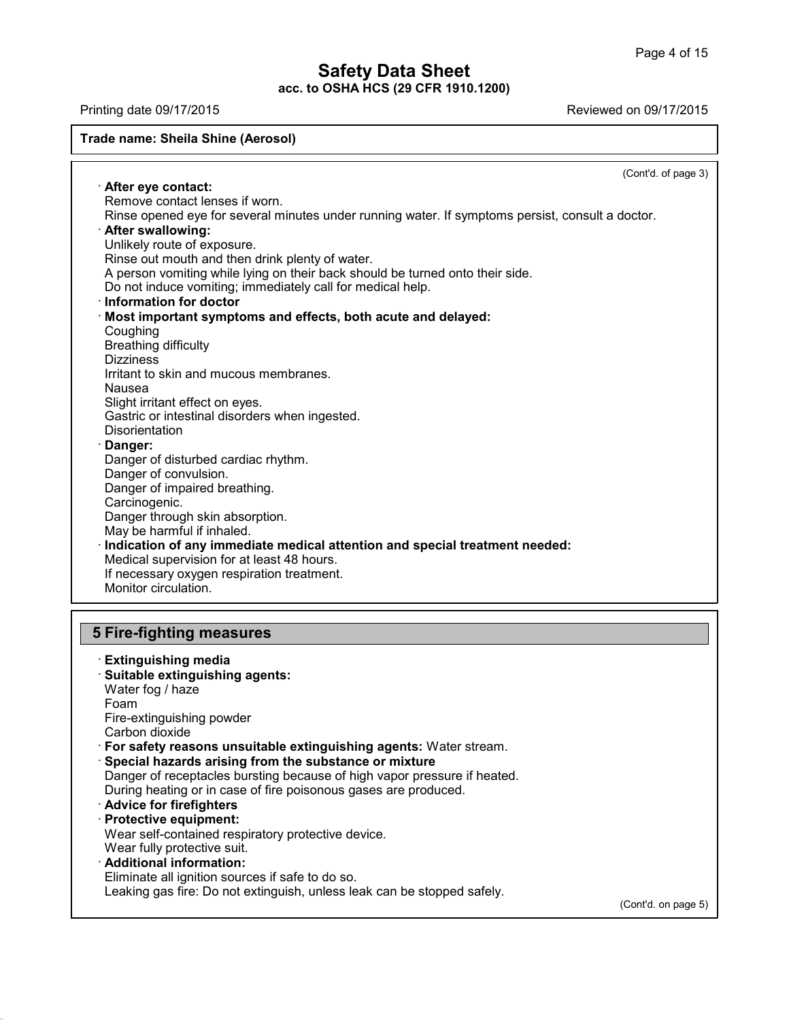Printing date 09/17/2015 Reviewed on 09/17/2015

# **Trade name: Sheila Shine (Aerosol)**

(Cont'd. of page 3) · **After eye contact:** Remove contact lenses if worn. Rinse opened eye for several minutes under running water. If symptoms persist, consult a doctor. · **After swallowing:** Unlikely route of exposure. Rinse out mouth and then drink plenty of water. A person vomiting while lying on their back should be turned onto their side. Do not induce vomiting; immediately call for medical help. · **Information fordoctor** · **Most important symptoms and effects, both acute and delayed: Coughing** Breathing difficulty **Dizziness** Irritant to skin and mucous membranes. Nausea Slight irritant effect on eyes. Gastric or intestinal disorders when ingested. **Disorientation** · **Danger:** Danger of disturbed cardiac rhythm. Danger of convulsion. Danger of impaired breathing. Carcinogenic. Danger through skin absorption. May be harmful if inhaled. · **Indication of any immediate medical attention and special treatment needed:** Medical supervision for at least 48 hours. If necessary oxygen respiration treatment. Monitor circulation. **5 Fire-fighting measures** · **Extinguishing media**

· **Suitable extinguishing agents:** Water fog / haze Foam Fire-extinguishing powder Carbon dioxide · **For safety reasons unsuitable extinguishing agents:** Water stream. · **Special hazards arising from the substance or mixture** Danger of receptacles bursting because of high vapor pressure if heated. During heating or in case of fire poisonous gases are produced. · **Advice for firefighters** · **Protective equipment:** Wear self-contained respiratory protective device. Wear fully protective suit. · **Additional information:**

41.2.6

Eliminate all ignition sources if safe to do so. Leaking gas fire: Do not extinguish, unless leak can be stopped safely.

(Cont'd. on page 5)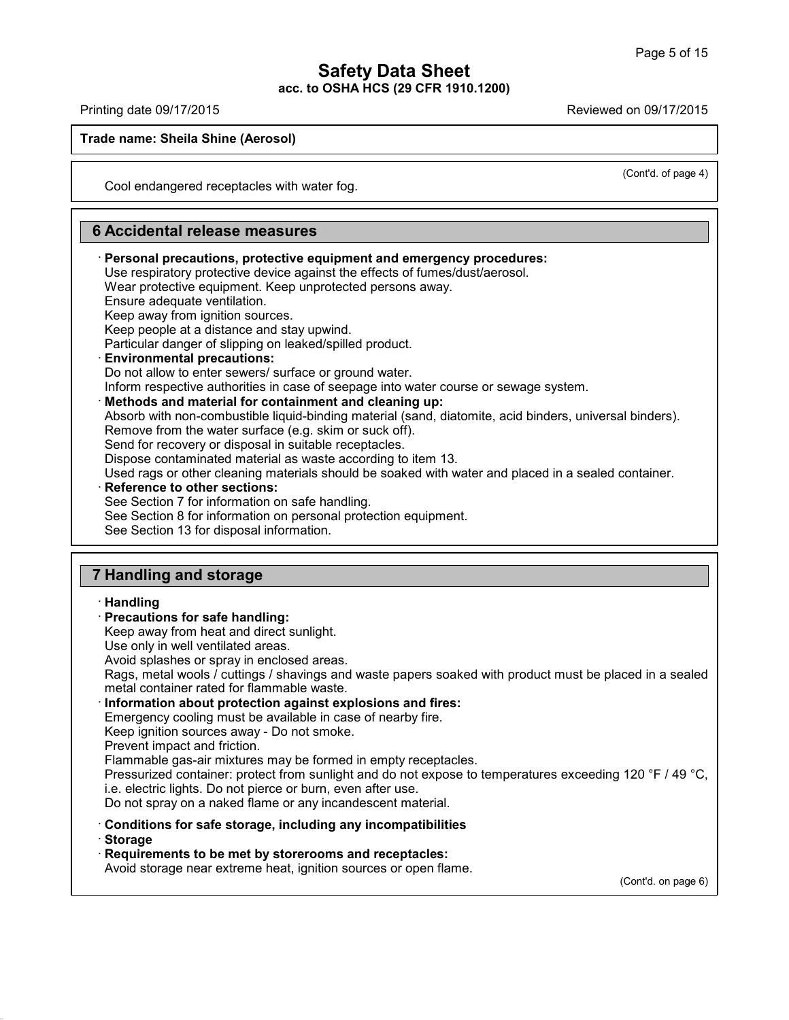Printing date 09/17/2015 Reviewed on 09/17/2015

41.2.6

**Trade name: Sheila Shine (Aerosol)**

(Cont'd. of page 4)

Cool endangered receptacles with water fog.

**6 Accidental release measures** · **Personal precautions, protective equipment and emergency procedures:** Use respiratory protective device against the effects of fumes/dust/aerosol. Wear protective equipment. Keep unprotected persons away. Ensure adequate ventilation. Keep away from ignition sources. Keep people at a distance and stay upwind. Particular danger of slipping on leaked/spilled product. · **Environmental precautions:** Do not allow to enter sewers/ surface or ground water. Inform respective authorities in case of seepage into water course or sewage system. · **Methods and material for containment and cleaning up:** Absorb with non-combustible liquid-binding material (sand, diatomite, acid binders, universal binders). Remove from the water surface (e.g. skim or suck off). Send for recovery or disposal in suitable receptacles. Dispose contaminated material as waste according to item 13. Used rags or other cleaning materials should be soaked with water and placed in a sealed container. · **Reference to other sections:** See Section 7 for information on safe handling. See Section 8 for information on personal protection equipment. See Section 13 for disposal information. **7 Handling and storage**

· **Handling** · **Precautions for safe handling:** Keep away from heat and direct sunlight. Use only in well ventilated areas. Avoid splashes or spray in enclosed areas. Rags, metal wools / cuttings / shavings and waste papers soaked with product must be placed in a sealed metal container rated for flammable waste. · **Information about protection against explosions and fires:** Emergency cooling must be available in case of nearby fire. Keep ignition sources away - Do not smoke. Prevent impact and friction. Flammable gas-air mixtures may be formed in empty receptacles. Pressurized container: protect from sunlight and do not expose to temperatures exceeding 120 °F / 49 °C, i.e. electric lights. Do not pierce or burn, even after use. Do not spray on a naked flame or any incandescent material. · **Conditions for safe storage, including any incompatibilities** · **Storage** · **Requirements to be met by storerooms and receptacles:** Avoid storage near extreme heat, ignition sources or open flame. (Cont'd. on page 6)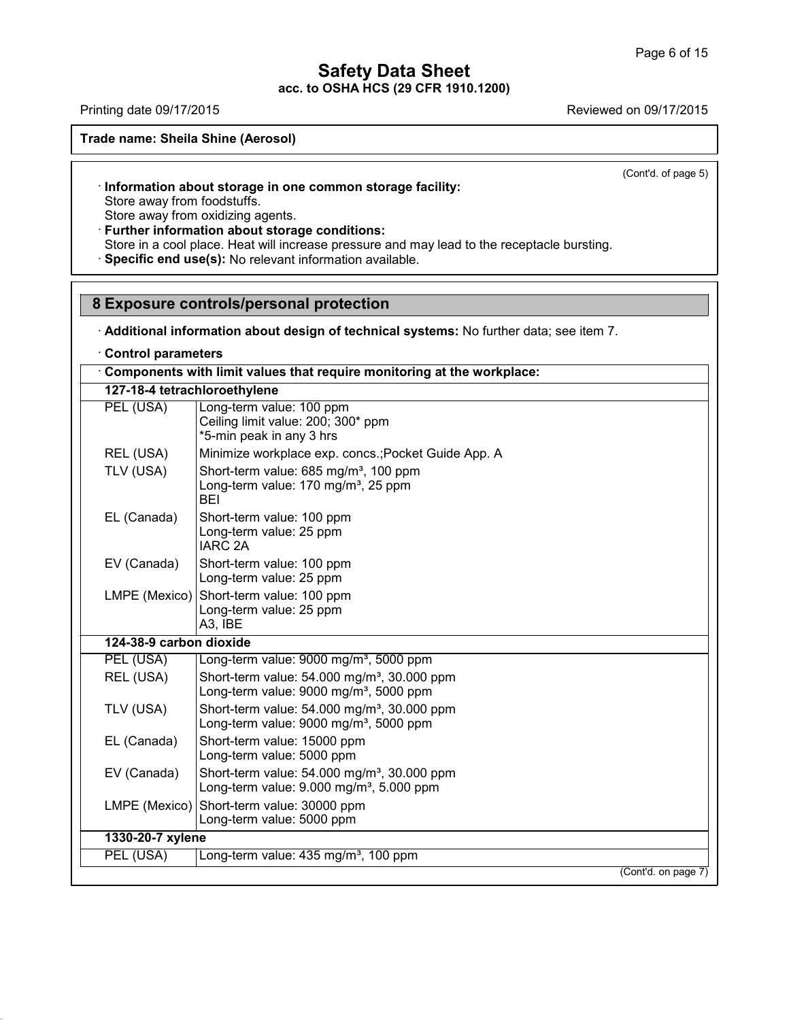# **Safety Data Sheet**

**acc. to OSHA HCS (29 CFR 1910.1200)**

Printing date 09/17/2015 **Reviewed on 09/17/2015** 

**Trade name: Sheila Shine (Aerosol)**

(Cont'd. of page 5)

# · **Information about storage in one common storage facility:**

Store away from foodstuffs.

Store away from oxidizing agents.

· **Further information about storage conditions:**

Store in a cool place. Heat will increase pressure and may lead to the receptacle bursting.

· **Specific end use(s):** No relevant information available.

# **8 Exposure controls/personal protection**

· **Additional information about design of technical systems:** No further data; see item 7.

· **Control parameters**

41.2.6

|                              | Components with limit values that require monitoring at the workplace:                                              |
|------------------------------|---------------------------------------------------------------------------------------------------------------------|
| 127-18-4 tetrachloroethylene |                                                                                                                     |
| PEL (USA)                    | Long-term value: 100 ppm<br>Ceiling limit value: 200; 300* ppm<br>*5-min peak in any 3 hrs                          |
| REL (USA)                    | Minimize workplace exp. concs.; Pocket Guide App. A                                                                 |
| TLV (USA)                    | Short-term value: 685 mg/m <sup>3</sup> , 100 ppm<br>Long-term value: 170 mg/m <sup>3</sup> , 25 ppm<br>BEI         |
| EL (Canada)                  | Short-term value: 100 ppm<br>Long-term value: 25 ppm<br><b>IARC 2A</b>                                              |
| EV (Canada)                  | Short-term value: 100 ppm<br>Long-term value: 25 ppm                                                                |
| LMPE (Mexico)                | Short-term value: 100 ppm<br>Long-term value: 25 ppm<br>A3, IBE                                                     |
| 124-38-9 carbon dioxide      |                                                                                                                     |
| PEL (USA)                    | Long-term value: 9000 mg/m <sup>3</sup> , 5000 ppm                                                                  |
| REL (USA)                    | Short-term value: 54.000 mg/m <sup>3</sup> , 30.000 ppm<br>Long-term value: 9000 mg/m <sup>3</sup> , 5000 ppm       |
| TLV (USA)                    | Short-term value: 54.000 mg/m <sup>3</sup> , 30.000 ppm<br>Long-term value: $9000 \text{ mg/m}^3$ , 5000 ppm        |
| EL (Canada)                  | Short-term value: 15000 ppm<br>Long-term value: 5000 ppm                                                            |
| EV (Canada)                  | Short-term value: 54.000 mg/m <sup>3</sup> , 30.000 ppm<br>Long-term value: $9.000$ mg/m <sup>3</sup> , $5.000$ ppm |
| LMPE (Mexico)                | Short-term value: 30000 ppm<br>Long-term value: 5000 ppm                                                            |
| 1330-20-7 xylene             |                                                                                                                     |
| PEL (USA)                    | Long-term value: 435 mg/m <sup>3</sup> , 100 ppm                                                                    |
|                              | (Cont'd. on page 7)                                                                                                 |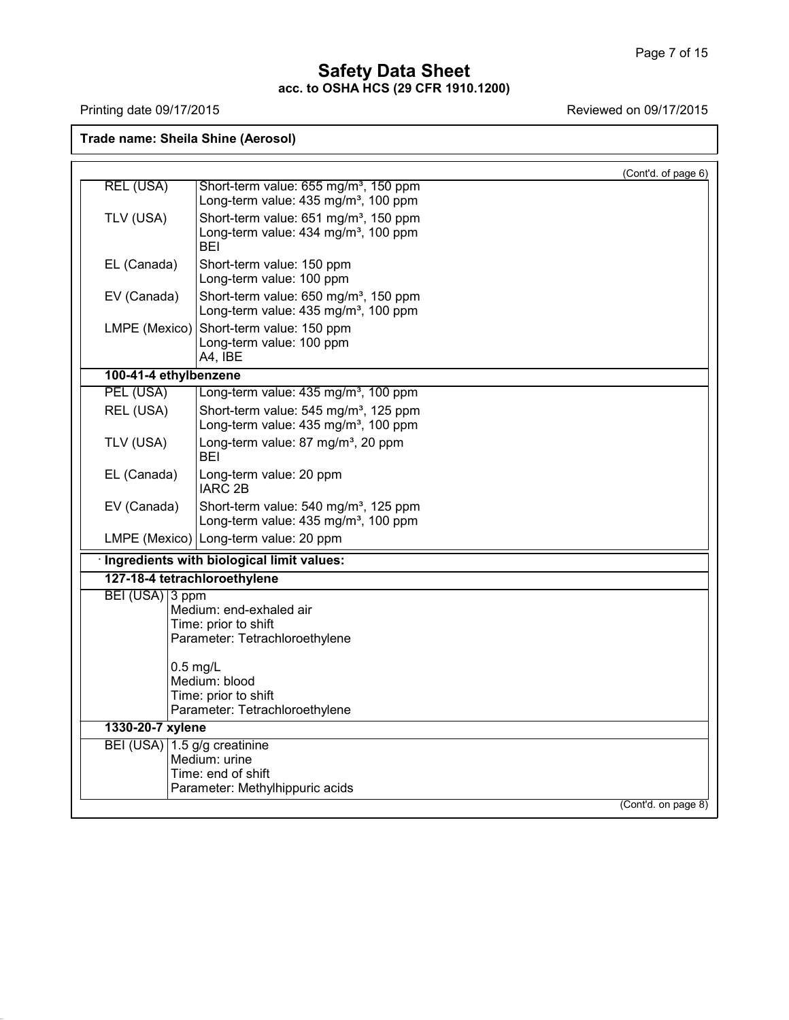41.2.6

Printing date 09/17/2015 Printing date 09/17/2015

**Trade name: Sheila Shine (Aerosol)**

|                              |                                                                | (Cont'd. of page 6) |
|------------------------------|----------------------------------------------------------------|---------------------|
| <b>REL (USA)</b>             | Short-term value: 655 mg/m <sup>3</sup> , 150 ppm              |                     |
|                              | Long-term value: 435 mg/m <sup>3</sup> , 100 ppm               |                     |
| TLV (USA)                    | Short-term value: 651 mg/m <sup>3</sup> , 150 ppm              |                     |
|                              | Long-term value: 434 mg/m <sup>3</sup> , 100 ppm<br><b>BEI</b> |                     |
| EL (Canada)                  | Short-term value: 150 ppm                                      |                     |
|                              | Long-term value: 100 ppm                                       |                     |
| EV (Canada)                  | Short-term value: 650 mg/m <sup>3</sup> , 150 ppm              |                     |
|                              | Long-term value: 435 mg/m <sup>3</sup> , 100 ppm               |                     |
| LMPE (Mexico)                | Short-term value: 150 ppm                                      |                     |
|                              | Long-term value: 100 ppm                                       |                     |
|                              | A4, IBE                                                        |                     |
| 100-41-4 ethylbenzene        |                                                                |                     |
| PEL (USA)                    | Long-term value: 435 mg/m <sup>3</sup> , 100 ppm               |                     |
| REL (USA)                    | Short-term value: 545 mg/m <sup>3</sup> , 125 ppm              |                     |
|                              | Long-term value: 435 mg/m <sup>3</sup> , 100 ppm               |                     |
| TLV (USA)                    | Long-term value: 87 mg/m <sup>3</sup> , 20 ppm<br><b>BEI</b>   |                     |
| EL (Canada)                  | Long-term value: 20 ppm                                        |                     |
|                              | <b>IARC 2B</b>                                                 |                     |
| EV (Canada)                  | Short-term value: 540 mg/m <sup>3</sup> , 125 ppm              |                     |
|                              | Long-term value: 435 mg/m <sup>3</sup> , 100 ppm               |                     |
|                              | LMPE (Mexico) Long-term value: 20 ppm                          |                     |
|                              | · Ingredients with biological limit values:                    |                     |
| 127-18-4 tetrachloroethylene |                                                                |                     |
| BEI (USA) 3 ppm              |                                                                |                     |
|                              | Medium: end-exhaled air                                        |                     |
|                              | Time: prior to shift<br>Parameter: Tetrachloroethylene         |                     |
|                              |                                                                |                     |
|                              | $0.5$ mg/L                                                     |                     |
|                              | Medium: blood                                                  |                     |
|                              | Time: prior to shift                                           |                     |
|                              | Parameter: Tetrachloroethylene                                 |                     |
| 1330-20-7 xylene             |                                                                |                     |
| BEI (USA) 1.5 g/g creatinine |                                                                |                     |
|                              | Medium: urine                                                  |                     |
|                              | Time: end of shift<br>Parameter: Methylhippuric acids          |                     |
|                              |                                                                |                     |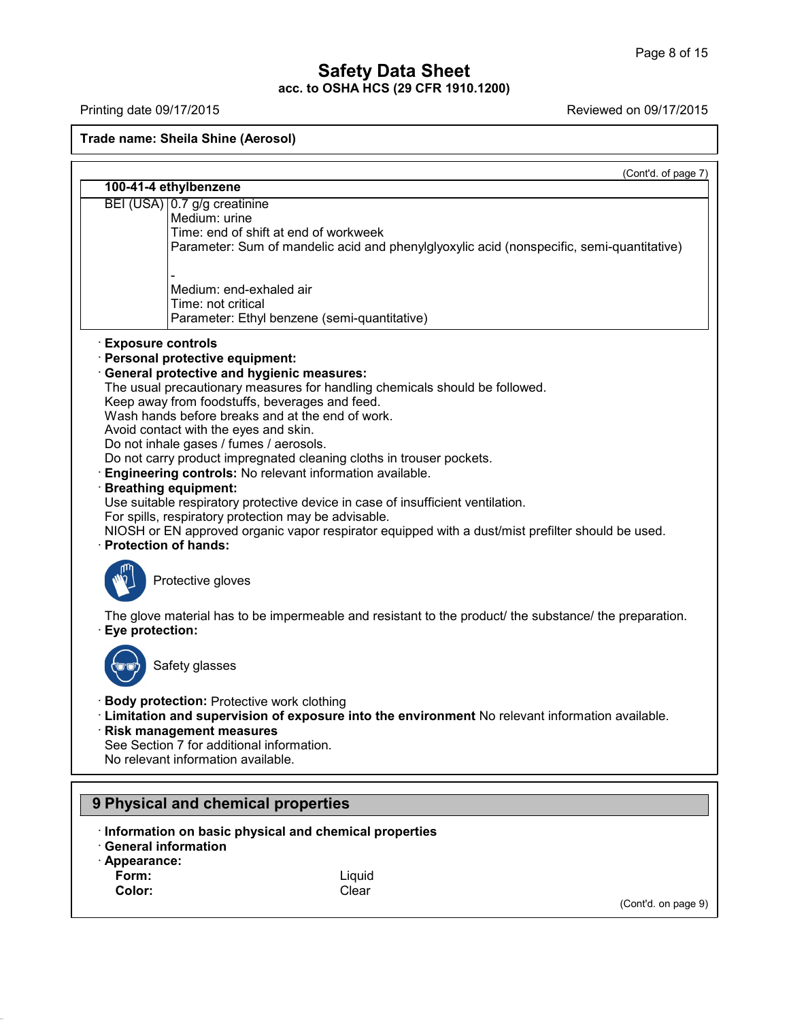Printing date 09/17/2015 Reviewed on 09/17/2015

#### **Trade name: Sheila Shine (Aerosol)**

(Cont'd. of page 7) **100-41-4 ethylbenzene** BEI (USA) 0.7 g/g creatinine Medium: urine Time: end of shift at end of workweek Parameter: Sum of mandelic acid and phenylglyoxylic acid (nonspecific, semi-quantitative) Medium: end-exhaled air Time: not critical Parameter: Ethyl benzene (semi-quantitative) · **Exposure controls** · **Personal protective equipment:** · **General protective and hygienic measures:** The usual precautionary measures for handling chemicals should be followed. Keep away from foodstuffs, beverages and feed. Wash hands before breaks and at the end of work. Avoid contact with the eyes and skin. Do not inhale gases / fumes / aerosols. Do not carry product impregnated cleaning cloths in trouser pockets. · **Engineering controls:** No relevant information available. · **Breathing equipment:** Use suitable respiratory protective device in case of insufficient ventilation. For spills, respiratory protection may be advisable. NIOSH or EN approved organic vapor respirator equipped with a dust/mist prefilter should be used. · **Protection of hands:** Protective gloves The glove material has to be impermeable and resistant to the product/ the substance/ the preparation. · **Eye protection:** Safety glasses · **Body protection:** Protective work clothing · **Limitation and supervision of exposure into the environment** No relevant information available. · **Risk management measures** See Section 7 for additional information. No relevant information available. **9 Physical and chemical properties** · **Information on basic physical and chemical properties** · **General information** · **Appearance: Form:** Liquid

41.2.6

**Color:** Clear

(Cont'd. on page 9)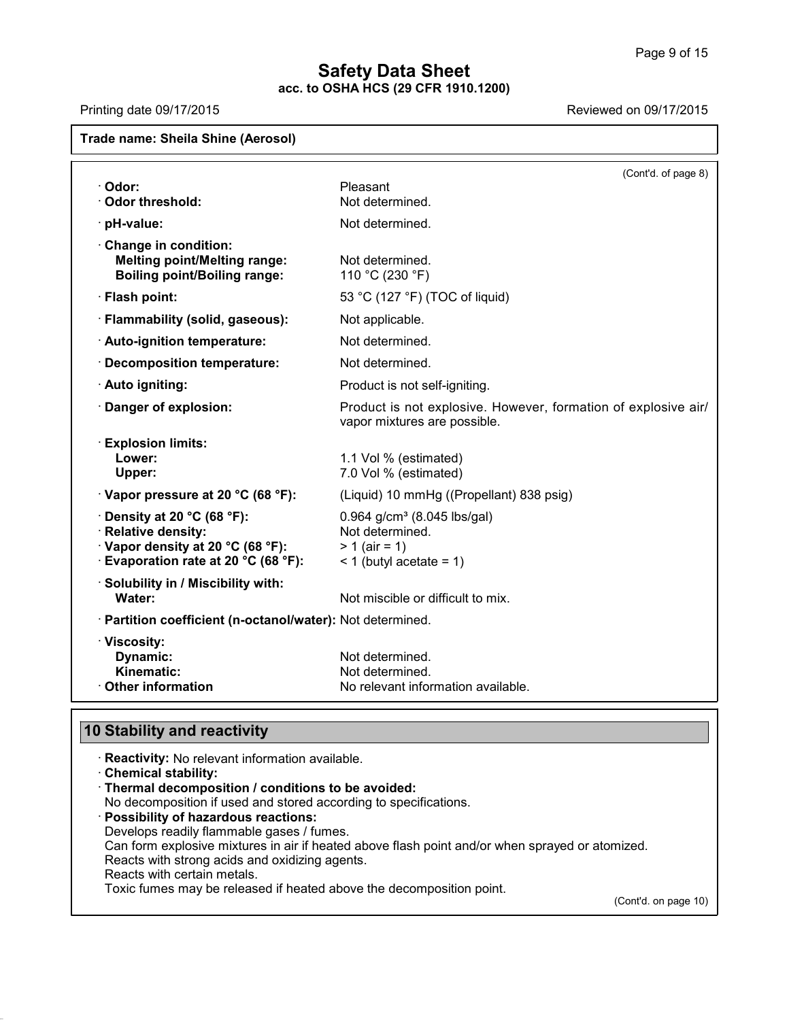Printing date 09/17/2015 Reviewed on 09/17/2015

# **Trade name: Sheila Shine (Aerosol)** (Cont'd. of page 8) · **Odor:** Pleasant **· Odor threshold:** Not determined. · **pH-value:** Not determined. · **Change in condition: Melting point/Melting range:** Not determined. **Boiling point/Boiling range:** 110 °C (230 °F) · **Flash point:** 53 °C (127 °F)(TOC of liquid) · **Flammability (solid, gaseous):** Not applicable. · **Auto-ignition temperature:** Not determined. · **Decomposition temperature:** Not determined. · **Auto igniting:** Product is not self-igniting. · **Danger of explosion:** Product is not explosive. However, formation of explosive air/ vapor mixtures are possible. · **Explosion limits: Lower:** 1.1 Vol % (estimated) **Upper:** 7.0 Vol % (estimated) · **Vapor pressure at 20 °C (68 °F):** (Liquid) 10 mmHg ((Propellant) 838 psig) **Purify at 20 °C (68 °F):** 0.964 g/cm<sup>3</sup> (8.045 lbs/gal)<br> **Relative density:** Not determined.  $\cdot$  **Relative density:** · **Vapor density at 20 °C (68 °F):** > 1 (air= 1)  $\cdot$  **Evaporation rate at 20 °C (68 °F):**  $\leq$  1 (butyl acetate = 1) · **Solubility in / Miscibility with: Water:** Not miscible or difficult to mix. · **Partition coefficient (n-octanol/water):** Not determined. · **Viscosity: Dynamic:** Not determined.<br> **Kinematic:** Not determined. **Kinematic:** Not determined.<br> **Citian Communist Communist Communist Communist Communist Communist Communist Communist Communist Communist Communist Communist Communist Communist Communist Communist Communist Communist Comm No relevant information available.**

# **10 Stability and reactivity**

41.2.6

· **Reactivity:** No relevant information available. · **Chemical stability:** · **Thermal decomposition / conditions to be avoided:** No decomposition if used and stored according to specifications. · **Possibility of hazardous reactions:** Develops readily flammable gases / fumes. Can form explosive mixtures in air if heated above flash point and/or when sprayed or atomized. Reacts with strong acids and oxidizing agents. Reacts with certain metals. Toxic fumes may be released if heated above the decomposition point. (Cont'd. on page 10)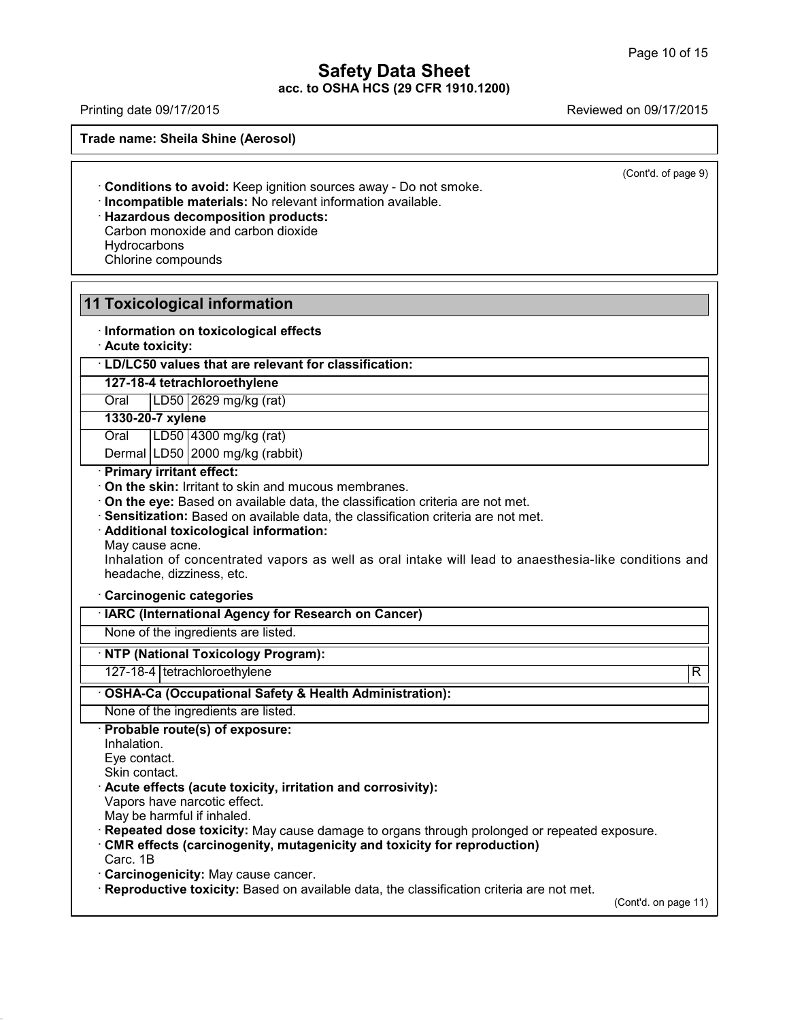Printing date 09/17/2015 Printing date 09/17/2015

**Trade name: Sheila Shine (Aerosol)**

41.2.6

(Cont'd. of page 9)

· **Conditions to avoid:** Keep ignition sources away - Do not smoke.

· **Incompatible materials:** No relevant information available.

· **Hazardous decomposition products:** Carbon monoxide and carbon dioxide **Hydrocarbons** Chlorine compounds

| <b>11 Toxicological information</b>                                                                                         |                         |
|-----------------------------------------------------------------------------------------------------------------------------|-------------------------|
| · Information on toxicological effects<br>· Acute toxicity:                                                                 |                         |
| · LD/LC50 values that are relevant for classification:                                                                      |                         |
| 127-18-4 tetrachloroethylene                                                                                                |                         |
| LD50 2629 mg/kg (rat)<br>Oral                                                                                               |                         |
| 1330-20-7 xylene                                                                                                            |                         |
| LD50 4300 mg/kg (rat)<br>Oral                                                                                               |                         |
| Dermal LD50 2000 mg/kg (rabbit)                                                                                             |                         |
| · Primary irritant effect:                                                                                                  |                         |
| On the skin: Irritant to skin and mucous membranes.                                                                         |                         |
| On the eye: Based on available data, the classification criteria are not met.                                               |                         |
| Sensitization: Based on available data, the classification criteria are not met.<br>· Additional toxicological information: |                         |
| May cause acne.                                                                                                             |                         |
| Inhalation of concentrated vapors as well as oral intake will lead to anaesthesia-like conditions and                       |                         |
| headache, dizziness, etc.                                                                                                   |                         |
| Carcinogenic categories                                                                                                     |                         |
| · IARC (International Agency for Research on Cancer)                                                                        |                         |
| None of the ingredients are listed.                                                                                         |                         |
| · NTP (National Toxicology Program):                                                                                        |                         |
| 127-18-4   tetrachloroethylene                                                                                              | $\overline{\mathsf{R}}$ |
| OSHA-Ca (Occupational Safety & Health Administration):                                                                      |                         |
| None of the ingredients are listed.                                                                                         |                         |
| Probable route(s) of exposure:                                                                                              |                         |
| Inhalation.                                                                                                                 |                         |
| Eye contact.<br>Skin contact.                                                                                               |                         |
| Acute effects (acute toxicity, irritation and corrosivity):                                                                 |                         |
| Vapors have narcotic effect.                                                                                                |                         |
| May be harmful if inhaled.                                                                                                  |                         |
| Repeated dose toxicity: May cause damage to organs through prolonged or repeated exposure.                                  |                         |
| CMR effects (carcinogenity, mutagenicity and toxicity for reproduction)                                                     |                         |
| Carc. 1B<br>Carcinogenicity: May cause cancer.                                                                              |                         |
| · Reproductive toxicity: Based on available data, the classification criteria are not met.                                  |                         |
| (Cont'd. on page 11)                                                                                                        |                         |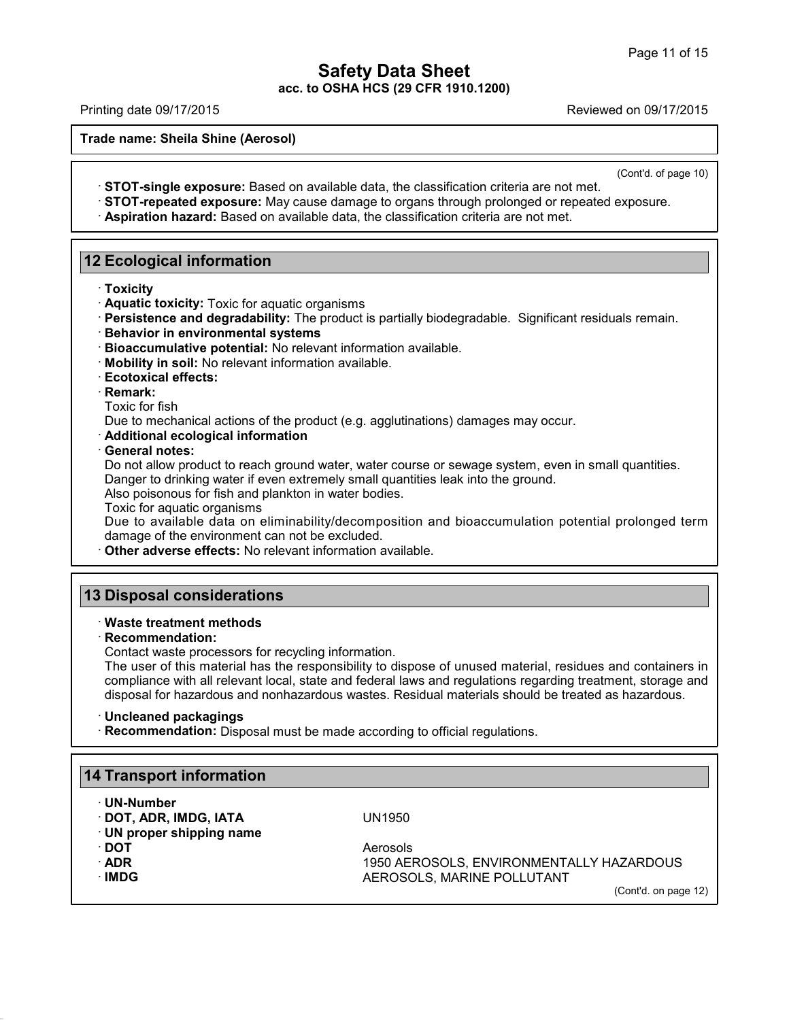Printing date 09/17/2015 Reviewed on 09/17/2015

**Trade name: Sheila Shine (Aerosol)**

(Cont'd. of page 10)

- · **STOT-single exposure:** Based on available data, the classification criteria are not met. · **STOT-repeated exposure:** May cause damage to organs through prolonged or repeated exposure.
- · **Aspiration hazard:** Based on available data, the classification criteria are not met.

# **12 Ecological information**

- · **Toxicity**
- · **Aquatic toxicity:** Toxic for aquatic organisms
- · **Persistence and degradability:** The product is partially biodegradable. Significant residuals remain.
- · **Behavior in environmental systems**
- · **Bioaccumulative potential:** No relevant information available.
- · **Mobility in soil:** No relevant information available.
- · **Ecotoxical effects:**
- · **Remark:**

Toxic for fish

Due to mechanical actions of the product (e.g. agglutinations) damages may occur.

· **Additional ecological information**

· **General notes:**

Do not allow product to reach ground water, water course or sewage system, even in small quantities. Danger to drinking water if even extremely small quantities leak into the ground.

Also poisonous for fish and plankton in water bodies.

Toxic for aquatic organisms

Due to available data on eliminability/decomposition and bioaccumulation potential prolonged term damage of the environment can not be excluded.

· **Other adverse effects:** No relevant information available.

# **13 Disposal considerations**

### · **Waste treatment methods**

· **Recommendation:**

Contact waste processors for recycling information.

The user of this material has the responsibility to dispose of unused material, residues and containers in compliance with all relevant local, state and federal laws and regulations regarding treatment, storage and disposal for hazardous and nonhazardous wastes. Residual materials should be treated as hazardous.

### · **Uncleaned packagings**

· **Recommendation:** Disposal must be made according to official regulations.

# **14 Transport information**

· **UN-Number**

· **DOT, ADR, IMDG, IATA** UN1950

· **UN proper shipping name**

- 
- 

41.2.6

**· DOT** Aerosols · **ADR** 1950 AEROSOLS, ENVIRONMENTALLY HAZARDOUS **AEROSOLS, MARINE POLLUTANT** 

(Cont'd. on page 12)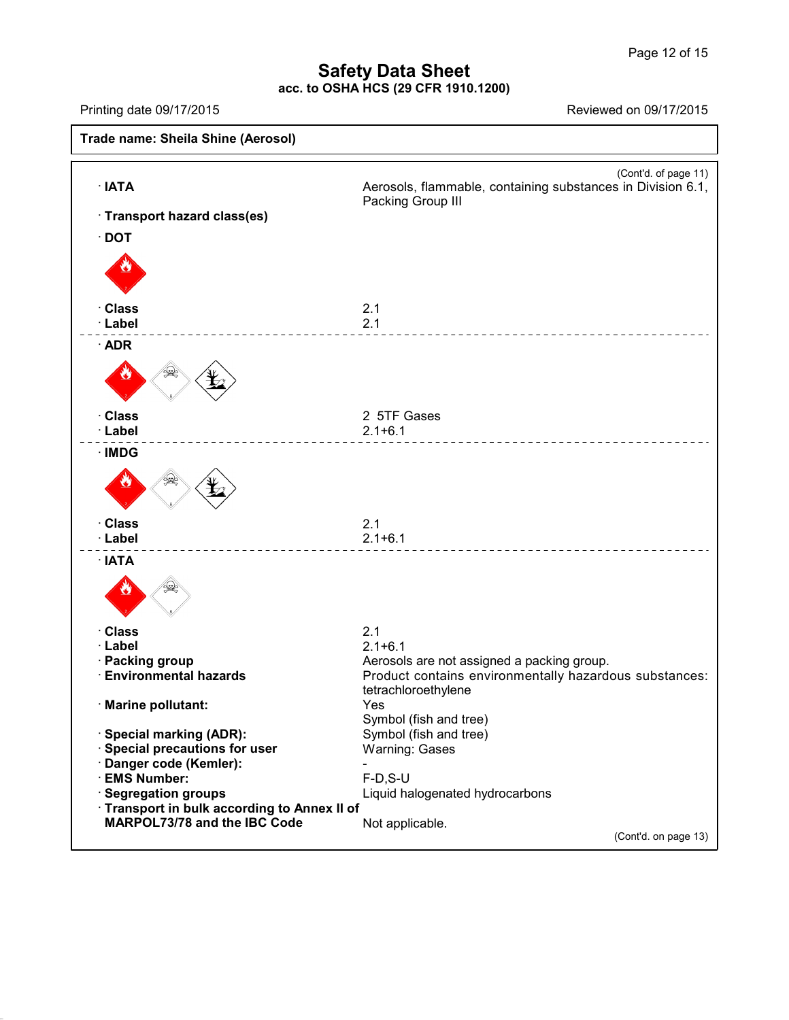# **Safety Data Sheet**

**acc. to OSHA HCS (29 CFR 1910.1200)**

41.2.6

Printing date 09/17/2015 Reviewed on 09/17/2015

**Trade name: Sheila Shine (Aerosol)** (Cont'd. of page 11) · **IATA Aerosols, flammable, containing substances in Division 6.1,**<br>Packing Group III · **Transport hazard class(es)** · **DOT** · **Class** 2.1 · **Label** 2.1 · **ADR** · **Class** 2 5TF Gases · **Label** 2.1+6.1  $\frac{1}{2}$ · **IMDG** · **Class** 2.1 · **Label** 2.1+6.1 · **IATA** · **Class** 2.1 · **Label** 2.1+6.1 **Packing group**<br>**Environmental hazards Aerosols are not assigned a packing group.**<br>Product contains environmentally hazarde Product contains environmentally hazardous substances: tetrachloroethylene · **Marine pollutant:** Yes Symbol (fish and tree) · **Special marking (ADR):** Symbol (fish and tree)  $\cdot$  Special precautions for user · **Danger code (Kemler):** - · **EMS Number:** F-D,S-U Liquid halogenated hydrocarbons · **Transport in bulk according to Annex II of MARPOL73/78** and the IBC Code Not applicable. (Cont'd. on page 13)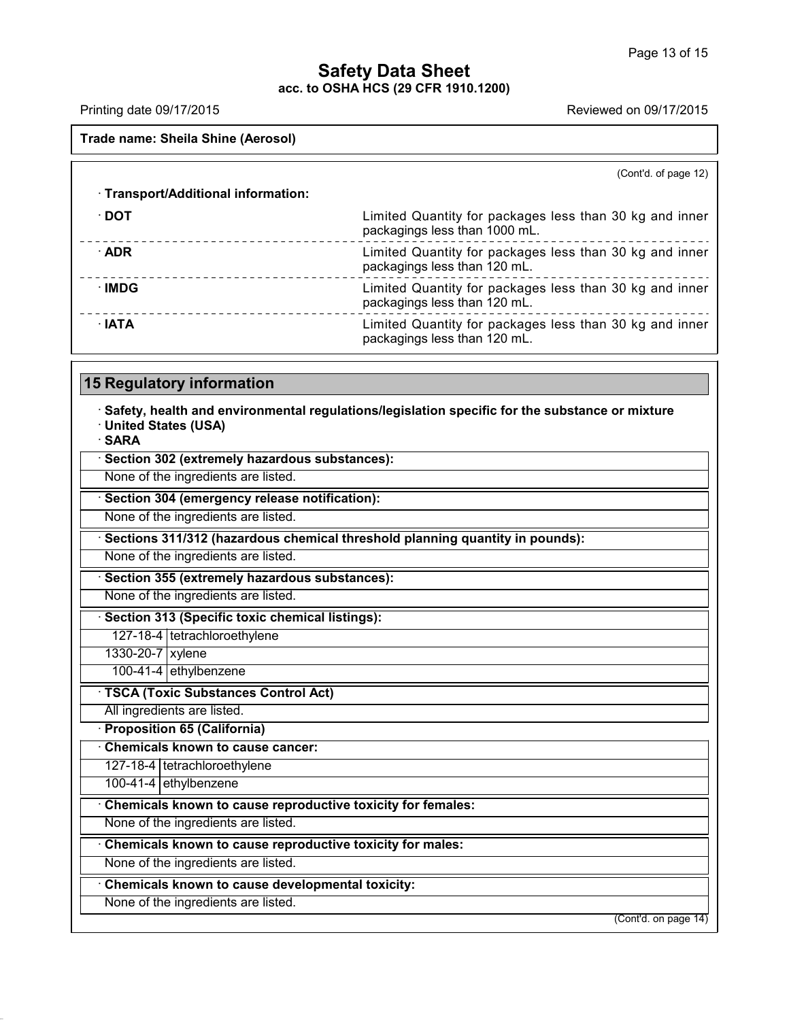# **Safety Data Sheet**

**acc. to OSHA HCS (29 CFR 1910.1200)**

Printing date 09/17/2015 **Reviewed on 09/17/2015** 

**Trade name: Sheila Shine (Aerosol)**

(Cont'd. of page 12)

| · Transport/Additional information: |                                                                                          |
|-------------------------------------|------------------------------------------------------------------------------------------|
| ∙ DOT                               | Limited Quantity for packages less than 30 kg and inner<br>packagings less than 1000 mL. |
| $\cdot$ ADR                         | Limited Quantity for packages less than 30 kg and inner<br>packagings less than 120 mL.  |
| ∙IMDG                               | Limited Quantity for packages less than 30 kg and inner<br>packagings less than 120 mL.  |
| $\cdot$ IATA                        | Limited Quantity for packages less than 30 kg and inner<br>packagings less than 120 mL.  |

# **15 Regulatory information**

· **Safety, health and environmental regulations/legislation specific for the substance or mixture** · **United States (USA)**

· **SARA**

41.2.6

| Section 302 (extremely hazardous substances):                                |  |
|------------------------------------------------------------------------------|--|
| None of the ingredients are listed.                                          |  |
| Section 304 (emergency release notification):                                |  |
| None of the ingredients are listed.                                          |  |
| Sections 311/312 (hazardous chemical threshold planning quantity in pounds): |  |
| None of the ingredients are listed.                                          |  |
| Section 355 (extremely hazardous substances):                                |  |
| None of the ingredients are listed.                                          |  |
| Section 313 (Specific toxic chemical listings):                              |  |
| 127-18-4   tetrachloroethylene                                               |  |
| 1330-20-7 xylene                                                             |  |
| 100-41-4 ethylbenzene                                                        |  |
| <b>TSCA (Toxic Substances Control Act)</b>                                   |  |
| All ingredients are listed.                                                  |  |
| <b>Proposition 65 (California)</b>                                           |  |
| <b>Chemicals known to cause cancer:</b>                                      |  |
| 127-18-4   tetrachloroethylene                                               |  |
| 100-41-4 ethylbenzene                                                        |  |
| Chemicals known to cause reproductive toxicity for females:                  |  |
| None of the ingredients are listed.                                          |  |
| Chemicals known to cause reproductive toxicity for males:                    |  |
| None of the ingredients are listed.                                          |  |
| Chemicals known to cause developmental toxicity:                             |  |
| None of the ingredients are listed.                                          |  |
| (Cont'd. on page 14)                                                         |  |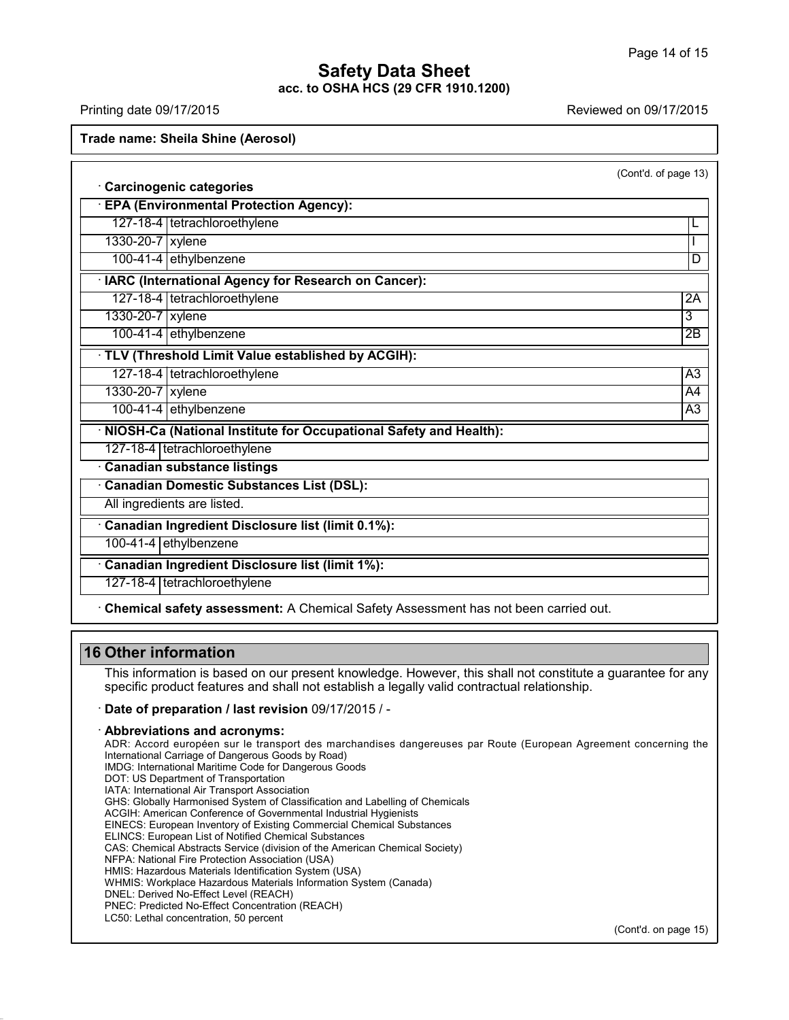Printing date 09/17/2015 Reviewed on 09/17/2015

**Trade name: Sheila Shine (Aerosol)**

(Cont'd. of page 13)

· **Carcinogenic categories** · **EPA (Environmental Protection Agency):**

127-18-4 tetrachloroethylene L

1330-20-7 xylene

100-41-4 ethylbenzene D

· **IARC (International Agency for Research on Cancer):**

127-18-4 tetrachloroethylene 2A 1330-20-7 xylene 33

100-41-4 ethylbenzene 2B

· **TLV (Threshold Limit Value established by ACGIH):**

127-18-4 tetrachloroethylene A3

1330-20-7 xylene A4 100-41-4 ethylbenzene A3

· **NIOSH-Ca (National Institute for Occupational Safety and Health):**

127-18-4 tetrachloroethylene

· **Canadian substance listings**

· **Canadian Domestic Substances List (DSL):**

All ingredients are listed.

· **Canadian Ingredient Disclosure list (limit 0.1%):**

100-41-4 ethylbenzene

· **Canadian Ingredient Disclosure list (limit 1%):**

127-18-4 tetrachloroethylene

· **Chemical safety assessment:** A Chemical Safety Assessment has not been carried out.

# **16 Other information**

41.2.6

This information is based on our present knowledge. However, this shall not constitute a guarantee for any specific product features and shall not establish a legally valid contractual relationship.

# · **Date of preparation / last revision** 09/17/2015 / -

### · **Abbreviations and acronyms:**

ADR: Accord européen sur le transport des marchandises dangereuses par Route (European Agreement concerning the International Carriage of Dangerous Goods by Road) IMDG: International Maritime Code for Dangerous Goods DOT: US Department of Transportation IATA: International Air Transport Association GHS: Globally Harmonised System of Classification and Labelling of Chemicals ACGIH: American Conference of Governmental Industrial Hygienists EINECS: European Inventory of Existing Commercial Chemical Substances ELINCS: European List of Notified Chemical Substances CAS: Chemical Abstracts Service (division of the American Chemical Society) NFPA: National Fire Protection Association (USA) HMIS: Hazardous Materials Identification System (USA) WHMIS: Workplace Hazardous Materials Information System (Canada) DNEL: Derived No-Effect Level (REACH) PNEC: Predicted No-Effect Concentration (REACH) LC50: Lethal concentration, 50 percent